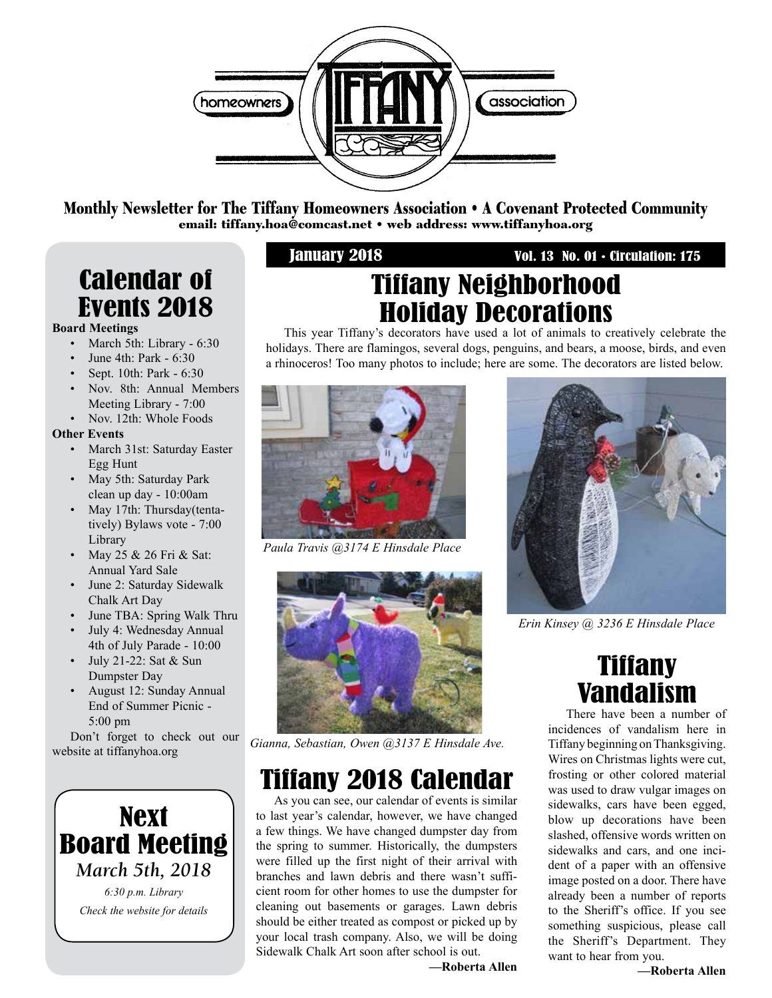

Monthly Newsletter for The Tiffany Homeowners Association • A Covenant Protected Community email: tiffany.hoa@comcast.net • web address: www.tiffanyhoa.org

# Calendar of Events 2018

#### **Board Meetings**

- March 5th: Library 6:30
- June 4th: Park 6:30
- Sept. 10th: Park 6:30
- Nov. 8th: Annual Members Meeting Library - 7:00
- Nov. 12th: Whole Foods

#### **Other Events**

- March 31st: Saturday Easter Egg Hunt
- May 5th: Saturday Park clean up day - 10:00am
- May 17th: Thursday(tenta tively) Bylaws vote - 7:00 Library
- May 25 & 26 Fri & Sat: Annual Yard Sale
- June 2: Saturday Sidewalk Chalk Art Day
- June TBA: Spring Walk Thru
- July 4: Wednesday Annual 4th of July Parade - 10:00
- July 21-22: Sat & Sun Dumpster Day
- August 12: Sunday Annual End of Summer Picnic - 5:00 pm

Don't forget to check out our website at tiffanyhoa.org



#### January 2018 Vol. 13 No. 01 • Circulation: 175

# Tiffany Neighborhood Holiday Decorations

This year Tiffany's decorators have used a lot of animals to creatively celebrate the holidays. There are flamingos, several dogs, penguins, and bears, a moose, birds, and even a rhinoceros! Too many photos to include; here are some. The decorators are listed below.



*Paula Travis @3174 E Hinsdale Place*



*Gianna, Sebastian, Owen @3137 E Hinsdale Ave.*

# Tiffany 2018 Calendar

As you can see, our calendar of events is similar to last year's calendar, however, we have changed a few things. We have changed dumpster day from the spring to summer. Historically, the dumpsters were filled up the first night of their arrival with branches and lawn debris and there wasn't sufficient room for other homes to use the dumpster for cleaning out basements or garages. Lawn debris should be either treated as compost or picked up by your local trash company. Also, we will be doing Sidewalk Chalk Art soon after school is out.

**—Roberta Allen**



*Erin Kinsey @ 3236 E Hinsdale Place*

# **Tiffany** Vandalism

There have been a number of incidences of vandalism here in Tiffany beginning on Thanksgiving. Wires on Christmas lights were cut, frosting or other colored material was used to draw vulgar images on sidewalks, cars have been egged, blow up decorations have been slashed, offensive words written on sidewalks and cars, and one incident of a paper with an offensive image posted on a door. There have already been a number of reports to the Sheriff's office. If you see something suspicious, please call the Sheriff's Department. They want to hear from you.

**—Roberta Allen**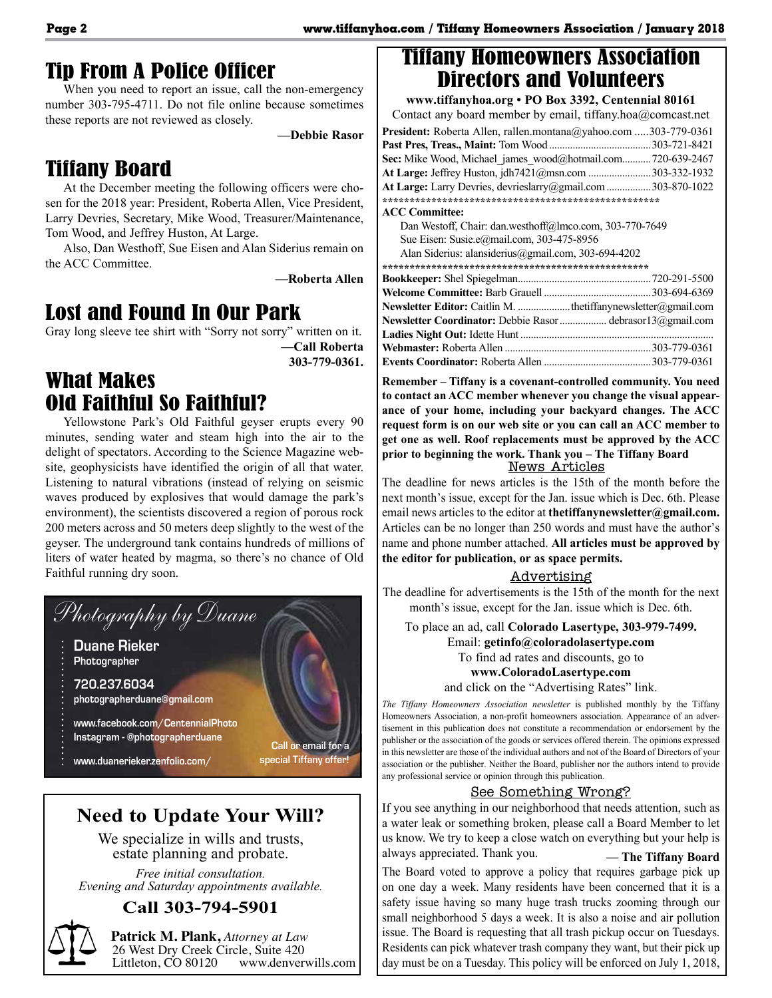#### Tip From A Police Officer

When you need to report an issue, call the non-emergency number 303-795-4711. Do not file online because sometimes these reports are not reviewed as closely.

**—Debbie Rasor**

### Tiffany Board

At the December meeting the following officers were chosen for the 2018 year: President, Roberta Allen, Vice President, Larry Devries, Secretary, Mike Wood, Treasurer/Maintenance, Tom Wood, and Jeffrey Huston, At Large.

Also, Dan Westhoff, Sue Eisen and Alan Siderius remain on the ACC Committee.

**—Roberta Allen**

#### Lost and Found In Our Park

Gray long sleeve tee shirt with "Sorry not sorry" written on it.

**—Call Roberta 303-779-0361.**

### What Makes Old Faithful So Faithful?

Yellowstone Park's Old Faithful geyser erupts every 90 minutes, sending water and steam high into the air to the delight of spectators. According to the Science Magazine website, geophysicists have identified the origin of all that water. Listening to natural vibrations (instead of relying on seismic waves produced by explosives that would damage the park's environment), the scientists discovered a region of porous rock 200 meters across and 50 meters deep slightly to the west of the geyser. The underground tank contains hundreds of millions of liters of water heated by magma, so there's no chance of Old Faithful running dry soon.



### **Need to Update Your Will?**

We specialize in wills and trusts, estate planning and probate.

*Free initial consultation. Evening and Saturday appointments available.*

#### **Call 303-794-5901**

**Patrick M. Plank,** *Attorney at Law* 26 West Dry Creek Circle, Suite 420<br>Littleton, CO 80120 www.denverv www.denverwills.com

#### Tiffany Homeowners Association Directors and Volunteers

**www.tiffanyhoa.org • PO Box 3392, Centennial 80161** Contact any board member by email, tiffany.hoa@comcast.net **President:** Roberta Allen, rallen.montana@yahoo.com .....303-779-0361 **Past Pres, Treas., Maint:** Tom Wood .......................................303-721-8421 Sec: Mike Wood, Michael\_james\_wood@hotmail.com...........720-639-2467 **At Large:** Jeffrey Huston, jdh7421@msn.com ........................303-332-1932 **At Large:** Larry Devries, devrieslarry@gmail.com.................303-870-1022 **\*\*\*\*\*\*\*\*\*\*\*\*\*\*\*\*\*\*\*\*\*\*\*\*\*\*\*\*\*\*\*\*\*\*\*\*\*\*\*\*\*\*\*\*\*\*\*\*\*\*\* ACC Committee:** Dan Westoff, Chair: dan.westhoff@lmco.com, 303-770-7649 Sue Eisen: Susie.e@mail.com, 303-475-8956 Alan Siderius: alansiderius@gmail.com, 303-694-4202 **\*\*\*\*\*\*\*\*\*\*\*\*\*\*\*\*\*\*\*\*\*\*\*\*\*\*\*\*\*\*\*\*\*\*\*\*\*\*\*\*\*\*\*\*\*\*\*\*\* Bookkeeper:** Shel Spiegelman...................................................720-291-5500 **Welcome Committee:** Barb Grauell .........................................303-694-6369 **Newsletter Editor:** Caitlin M. ....................thetiffanynewsletter@gmail.com **Newsletter Coordinator:** Debbie Rasor.................. debrasor13@gmail.com **Ladies Night Out:** Idette Hunt .......................................................................... **Webmaster:** Roberta Allen ........................................................303-779-0361 **Events Coordinator:** Roberta Allen .........................................303-779-0361

**Remember – Tiffany is a covenant-controlled community. You need to contact an ACC member whenever you change the visual appearance of your home, including your backyard changes. The ACC request form is on our web site or you can call an ACC member to get one as well. Roof replacements must be approved by the ACC prior to beginning the work. Thank you – The Tiffany Board**

#### News Articles

The deadline for news articles is the 15th of the month before the next month's issue, except for the Jan. issue which is Dec. 6th. Please email news articles to the editor at **thetiffanynewsletter@gmail.com.** Articles can be no longer than 250 words and must have the author's name and phone number attached. **All articles must be approved by the editor for publication, or as space permits.** 

#### Advertising

The deadline for advertisements is the 15th of the month for the next month's issue, except for the Jan. issue which is Dec. 6th.

To place an ad, call **Colorado Lasertype, 303-979-7499.**

Email: **getinfo@coloradolasertype.com** 

To find ad rates and discounts, go to

#### **www.ColoradoLasertype.com**

and click on the "Advertising Rates" link.

*The Tiffany Homeowners Association newsletter* is published monthly by the Tiffany Homeowners Association, a non-profit homeowners association. Appearance of an advertisement in this publication does not constitute a recommendation or endorsement by the publisher or the association of the goods or services offered therein. The opinions expressed in this newsletter are those of the individual authors and not of the Board of Directors of your association or the publisher. Neither the Board, publisher nor the authors intend to provide any professional service or opinion through this publication.

#### See Something Wrong?

If you see anything in our neighborhood that needs attention, such as It you see anything in our neighborhood that needs attention, such as<br>a water leak or something broken, please call a Board Member to let us know. We try to keep a close watch on everything but your help is always appreciated. Thank you. - The Tiffany Board

The Board voted to approve a policy that requires garbage pick up on one day a week. Many residents have been concerned that it is a safety issue having so many huge trash trucks zooming through our small points because a vertex of 5 days a veck It is also a poise and air pollution small neighborhood 5 days a week. It is also a noise and air pollution issue. The Board is requesting that all trash pickup occur on Tuesdays. Residents can pick whatever trash company they want, but their pick up day must be on a Tuesday. This policy will be enforced on July 1, 2018,  $\vert$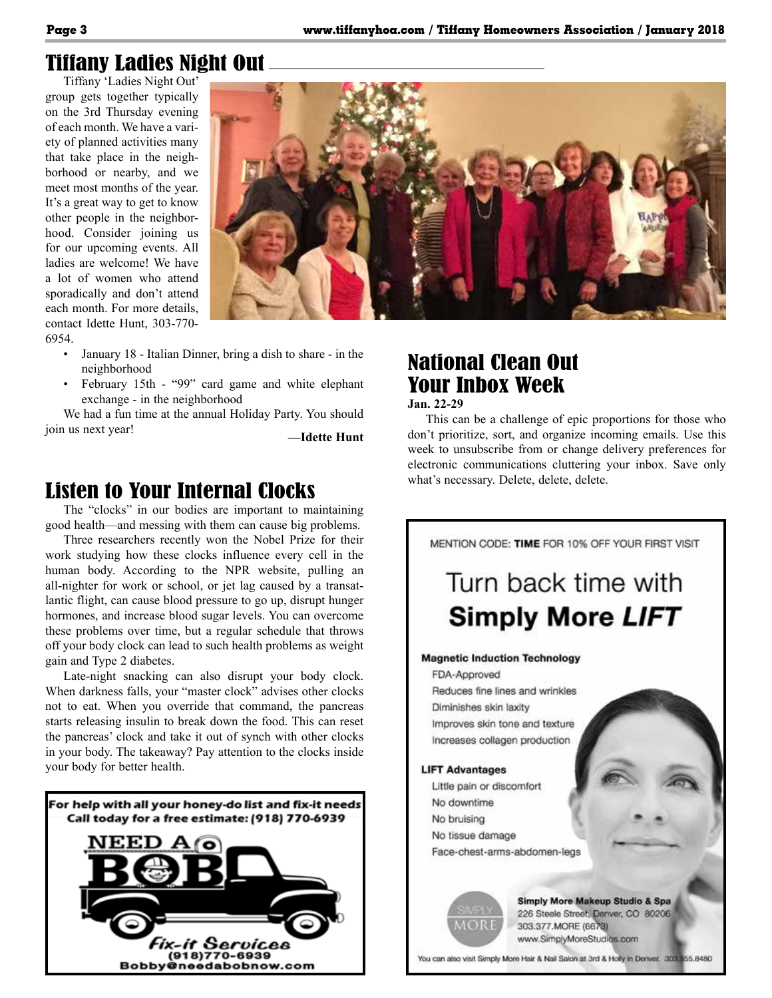## Tiffany Ladies Night Out

Tiffany 'Ladies Night Out' group gets together typically on the 3rd Thursday evening of each month. We have a variety of planned activities many that take place in the neighborhood or nearby, and we meet most months of the year. It's a great way to get to know other people in the neighborhood. Consider joining us for our upcoming events. All ladies are welcome! We have a lot of women who attend sporadically and don't attend each month. For more details, contact Idette Hunt, 303-770- 6954.



- January 18 Italian Dinner, bring a dish to share in the neighborhood
- February 15th "99" card game and white elephant exchange - in the neighborhood

We had a fun time at the annual Holiday Party. You should join us next year! **—Idette Hunt**

#### Listen to Your Internal Clocks

The "clocks" in our bodies are important to maintaining good health—and messing with them can cause big problems.

Three researchers recently won the Nobel Prize for their work studying how these clocks influence every cell in the human body. According to the NPR website, pulling an all-nighter for work or school, or jet lag caused by a transatlantic flight, can cause blood pressure to go up, disrupt hunger hormones, and increase blood sugar levels. You can overcome these problems over time, but a regular schedule that throws off your body clock can lead to such health problems as weight gain and Type 2 diabetes.

Late-night snacking can also disrupt your body clock. When darkness falls, your "master clock" advises other clocks not to eat. When you override that command, the pancreas starts releasing insulin to break down the food. This can reset the pancreas' clock and take it out of synch with other clocks in your body. The takeaway? Pay attention to the clocks inside your body for better health.



### National Clean Out Your Inbox Week

**Jan. 22-29**

This can be a challenge of epic proportions for those who don't prioritize, sort, and organize incoming emails. Use this week to unsubscribe from or change delivery preferences for electronic communications cluttering your inbox. Save only what's necessary. Delete, delete, delete.



You can also visit Simply More Hair & Nail Salon at 3rd & Holly in Denver. 303 355.8480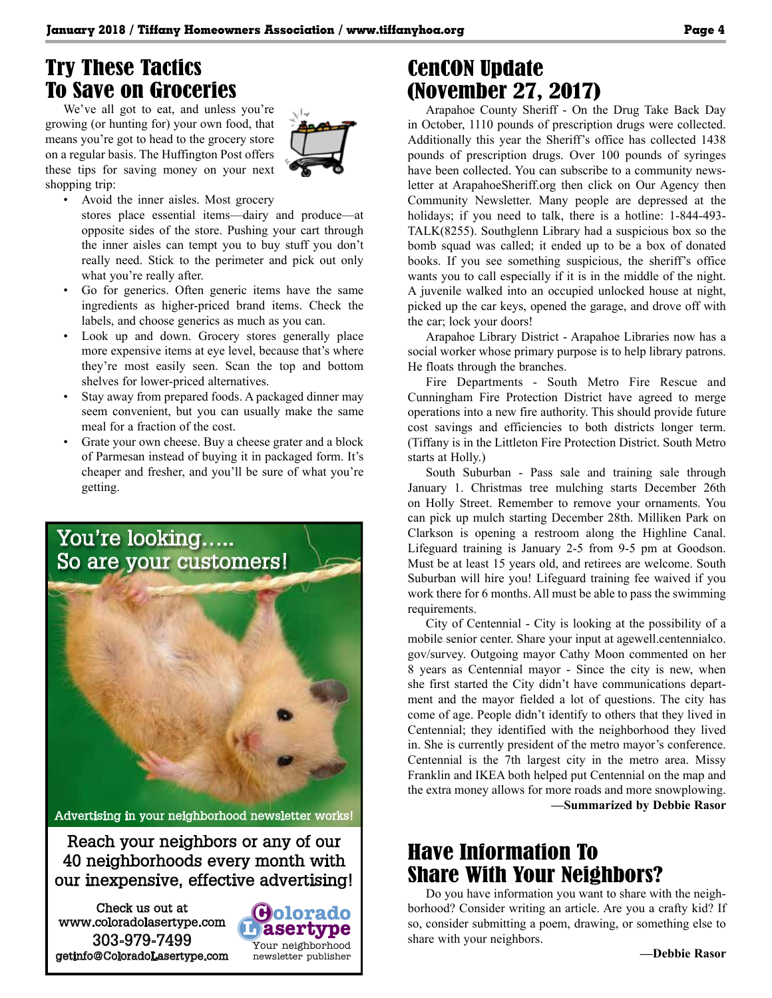## Try These Tactics To Save on Groceries

We've all got to eat, and unless you're growing (or hunting for) your own food, that means you're got to head to the grocery store on a regular basis. The Huffington Post offers these tips for saving money on your next shopping trip:



- Avoid the inner aisles. Most grocery
	- stores place essential items—dairy and produce—at opposite sides of the store. Pushing your cart through the inner aisles can tempt you to buy stuff you don't really need. Stick to the perimeter and pick out only what you're really after.
- Go for generics. Often generic items have the same ingredients as higher-priced brand items. Check the labels, and choose generics as much as you can.
- Look up and down. Grocery stores generally place more expensive items at eye level, because that's where they're most easily seen. Scan the top and bottom shelves for lower-priced alternatives.
- Stay away from prepared foods. A packaged dinner may seem convenient, but you can usually make the same meal for a fraction of the cost.
- Grate your own cheese. Buy a cheese grater and a block of Parmesan instead of buying it in packaged form. It's cheaper and fresher, and you'll be sure of what you're getting.



Advertising in your neighborhood newsletter works!

Reach your neighbors or any of our 40 neighborhoods every month with our inexpensive, effective advertising!

> **L asertype C olorado**

Your neighborhood newsletter publisher

Check us out at www.coloradolasertype.com 303-979-7499 getinfo@ColoradoLasertype.com

## CenCON Update (November 27, 2017)

Arapahoe County Sheriff - On the Drug Take Back Day in October, 1110 pounds of prescription drugs were collected. Additionally this year the Sheriff's office has collected 1438 pounds of prescription drugs. Over 100 pounds of syringes have been collected. You can subscribe to a community newsletter at ArapahoeSheriff.org then click on Our Agency then Community Newsletter. Many people are depressed at the holidays; if you need to talk, there is a hotline: 1-844-493-TALK(8255). Southglenn Library had a suspicious box so the bomb squad was called; it ended up to be a box of donated books. If you see something suspicious, the sheriff's office wants you to call especially if it is in the middle of the night. A juvenile walked into an occupied unlocked house at night, picked up the car keys, opened the garage, and drove off with the car; lock your doors!

Arapahoe Library District - Arapahoe Libraries now has a social worker whose primary purpose is to help library patrons. He floats through the branches.

Fire Departments - South Metro Fire Rescue and Cunningham Fire Protection District have agreed to merge operations into a new fire authority. This should provide future cost savings and efficiencies to both districts longer term. (Tiffany is in the Littleton Fire Protection District. South Metro starts at Holly.)

South Suburban - Pass sale and training sale through January 1. Christmas tree mulching starts December 26th on Holly Street. Remember to remove your ornaments. You can pick up mulch starting December 28th. Milliken Park on Clarkson is opening a restroom along the Highline Canal. Lifeguard training is January 2-5 from 9-5 pm at Goodson. Must be at least 15 years old, and retirees are welcome. South Suburban will hire you! Lifeguard training fee waived if you work there for 6 months. All must be able to pass the swimming requirements.

City of Centennial - City is looking at the possibility of a mobile senior center. Share your input at agewell.centennialco. gov/survey. Outgoing mayor Cathy Moon commented on her 8 years as Centennial mayor - Since the city is new, when she first started the City didn't have communications department and the mayor fielded a lot of questions. The city has come of age. People didn't identify to others that they lived in Centennial; they identified with the neighborhood they lived in. She is currently president of the metro mayor's conference. Centennial is the 7th largest city in the metro area. Missy Franklin and IKEA both helped put Centennial on the map and the extra money allows for more roads and more snowplowing. **—Summarized by Debbie Rasor**

### Have Information To Share With Your Neighbors?

Do you have information you want to share with the neighborhood? Consider writing an article. Are you a crafty kid? If so, consider submitting a poem, drawing, or something else to share with your neighbors.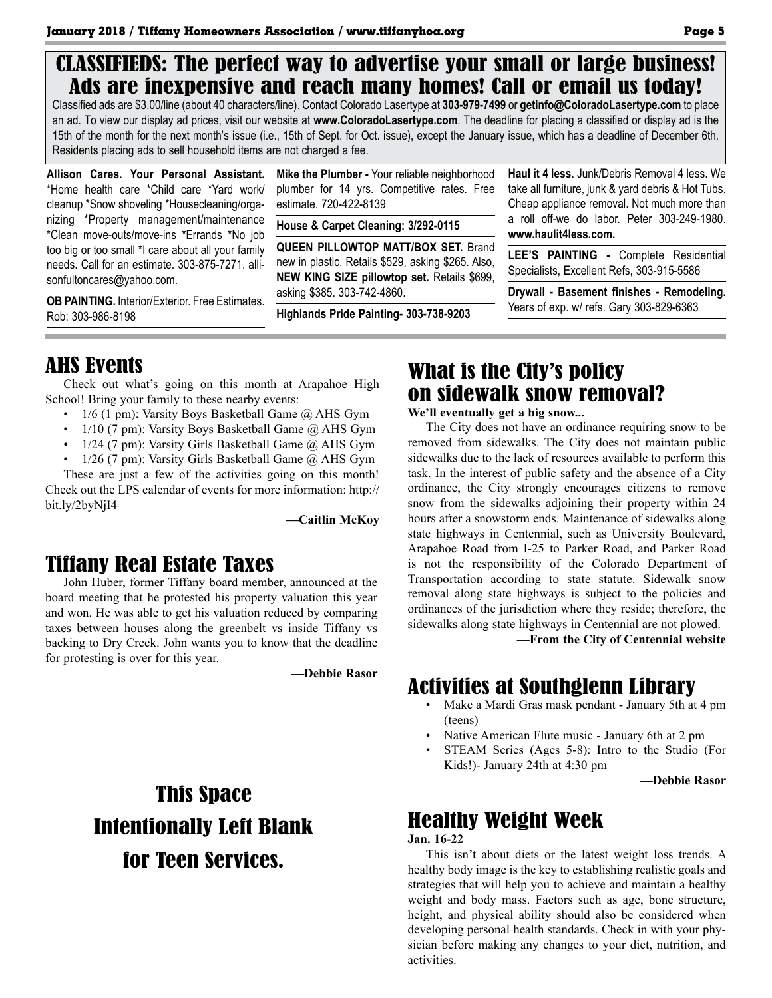#### CLASSIFIEDS: The perfect way to advertise your small or large business! Ads are inexpensive and reach many homes! Call or email us today!

Classified ads are \$3.00/line (about 40 characters/line). Contact Colorado Lasertype at **303-979-7499** or **getinfo@ColoradoLasertype.com** to place an ad. To view our display ad prices, visit our website at **www.ColoradoLasertype.com**. The deadline for placing a classified or display ad is the 15th of the month for the next month's issue (i.e., 15th of Sept. for Oct. issue), except the January issue, which has a deadline of December 6th. Residents placing ads to sell household items are not charged a fee.

**Allison Cares. Your Personal Assistant.** \*Home health care \*Child care \*Yard work/ cleanup \*Snow shoveling \*Housecleaning/organizing \*Property management/maintenance \*Clean move-outs/move-ins \*Errands \*No job too big or too small \*I care about all your family needs. Call for an estimate. 303-875-7271. allisonfultoncares@yahoo.com.

**OB PAINTING.** Interior/Exterior. Free Estimates. Rob: 303-986-8198

**Mike the Plumber -** Your reliable neighborhood plumber for 14 yrs. Competitive rates. Free estimate. 720-422-8139

**House & Carpet Cleaning: 3/292-0115**

**QUEEN PILLOWTOP MATT/BOX SET.** Brand new in plastic. Retails \$529, asking \$265. Also, **NEW KING SIZE pillowtop set.** Retails \$699, asking \$385. 303-742-4860.

**Highlands Pride Painting- 303-738-9203**

**Haul it 4 less.** Junk/Debris Removal 4 less. We take all furniture, junk & yard debris & Hot Tubs. Cheap appliance removal. Not much more than a roll off-we do labor. Peter 303-249-1980. **www.haulit4less.com.** 

**LEE'S PAINTING -** Complete Residential Specialists, Excellent Refs, 303-915-5586

**Drywall - Basement finishes - Remodeling.**  Years of exp. w/ refs. Gary 303-829-6363

#### AHS Events

Check out what's going on this month at Arapahoe High School! Bring your family to these nearby events:

- 1/6 (1 pm): Varsity Boys Basketball Game @ AHS Gym
- 1/10 (7 pm): Varsity Boys Basketball Game @ AHS Gym
- 1/24 (7 pm): Varsity Girls Basketball Game @ AHS Gym
- 1/26 (7 pm): Varsity Girls Basketball Game @ AHS Gym

These are just a few of the activities going on this month! Check out the LPS calendar of events for more information: http:// bit.ly/2byNjI4

**—Caitlin McKoy**

#### Tiffany Real Estate Taxes

John Huber, former Tiffany board member, announced at the board meeting that he protested his property valuation this year and won. He was able to get his valuation reduced by comparing taxes between houses along the greenbelt vs inside Tiffany vs backing to Dry Creek. John wants you to know that the deadline for protesting is over for this year.

**—Debbie Rasor**

# This Space Intentionally Left Blank for Teen Services.

#### What is the City's policy on sidewalk snow removal?

**We'll eventually get a big snow...**

The City does not have an ordinance requiring snow to be removed from sidewalks. The City does not maintain public sidewalks due to the lack of resources available to perform this task. In the interest of public safety and the absence of a City ordinance, the City strongly encourages citizens to remove snow from the sidewalks adjoining their property within 24 hours after a snowstorm ends. Maintenance of sidewalks along state highways in Centennial, such as University Boulevard, Arapahoe Road from I-25 to Parker Road, and Parker Road is not the responsibility of the Colorado Department of Transportation according to state statute. Sidewalk snow removal along state highways is subject to the policies and ordinances of the jurisdiction where they reside; therefore, the sidewalks along state highways in Centennial are not plowed.

**—From the City of Centennial website**

#### Activities at Southglenn Library

- Make a Mardi Gras mask pendant January 5th at 4 pm (teens)
- Native American Flute music January 6th at 2 pm
- STEAM Series (Ages 5-8): Intro to the Studio (For Kids!)- January 24th at 4:30 pm

**—Debbie Rasor**

# Healthy Weight Week

**Jan. 16-22**

This isn't about diets or the latest weight loss trends. A healthy body image is the key to establishing realistic goals and strategies that will help you to achieve and maintain a healthy weight and body mass. Factors such as age, bone structure, height, and physical ability should also be considered when developing personal health standards. Check in with your physician before making any changes to your diet, nutrition, and activities.